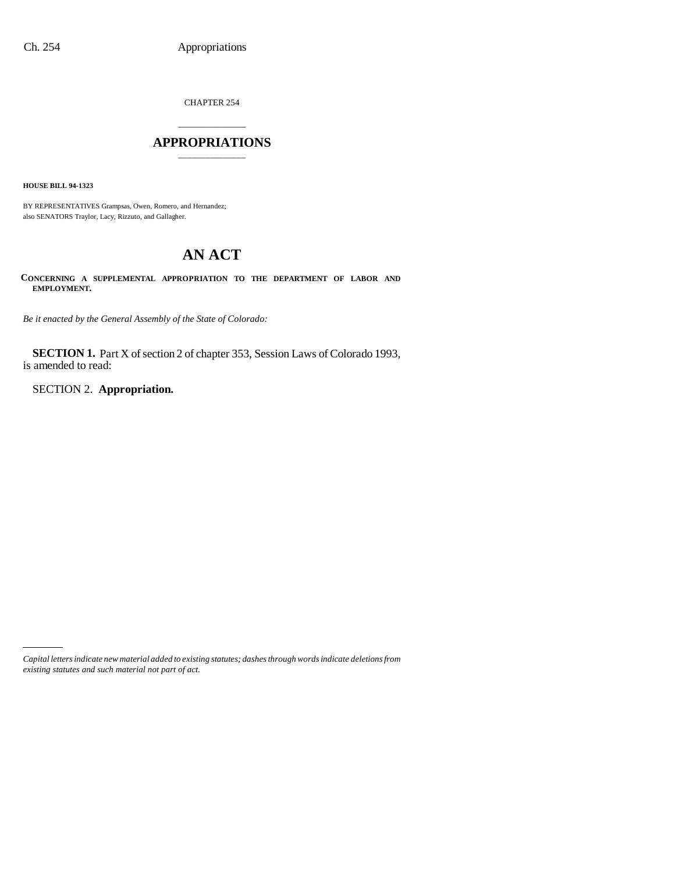CHAPTER 254

# \_\_\_\_\_\_\_\_\_\_\_\_\_\_\_ **APPROPRIATIONS** \_\_\_\_\_\_\_\_\_\_\_\_\_\_\_

**HOUSE BILL 94-1323**

BY REPRESENTATIVES Grampsas, Owen, Romero, and Hernandez; also SENATORS Traylor, Lacy, Rizzuto, and Gallagher.

# **AN ACT**

**CONCERNING A SUPPLEMENTAL APPROPRIATION TO THE DEPARTMENT OF LABOR AND EMPLOYMENT.**

*Be it enacted by the General Assembly of the State of Colorado:*

**SECTION 1.** Part X of section 2 of chapter 353, Session Laws of Colorado 1993, is amended to read:

SECTION 2. **Appropriation.**

*Capital letters indicate new material added to existing statutes; dashes through words indicate deletions from existing statutes and such material not part of act.*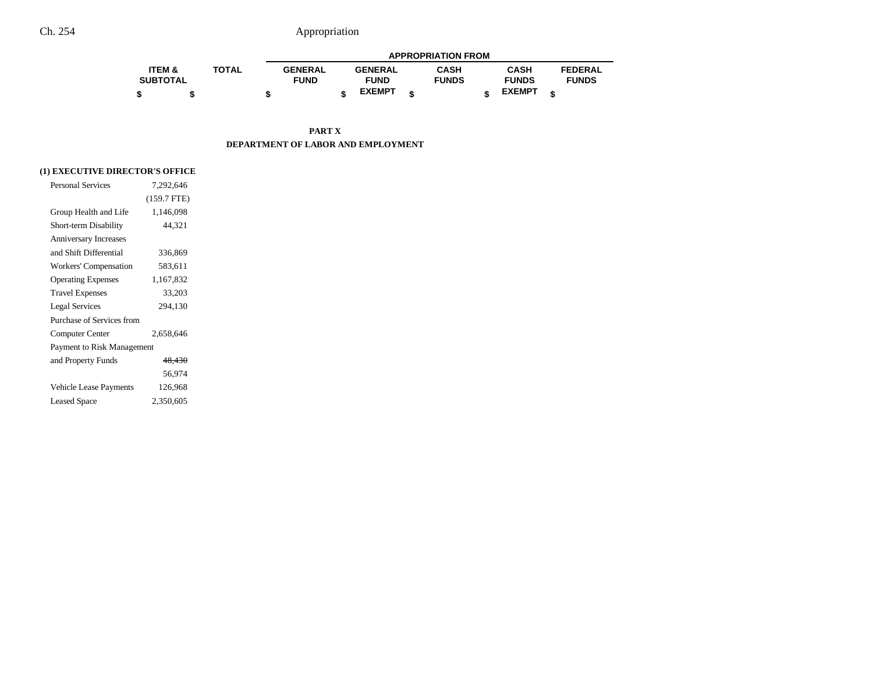|                   |              |                |                | <b>APPROPRIATION FROM</b> |               |                |
|-------------------|--------------|----------------|----------------|---------------------------|---------------|----------------|
| <b>ITEM &amp;</b> | <b>TOTAL</b> | <b>GENERAL</b> | <b>GENERAL</b> | <b>CASH</b>               | <b>CASH</b>   | <b>FEDERAL</b> |
| <b>SUBTOTAL</b>   |              | <b>FUND</b>    | <b>FUND</b>    | <b>FUNDS</b>              | <b>FUNDS</b>  | <b>FUNDS</b>   |
|                   |              |                | <b>EXEMPT</b>  |                           | <b>EXEMPT</b> |                |

**PART X DEPARTMENT OF LABOR AND EMPLOYMENT**

# **(1) EXECUTIVE DIRECTOR'S OFFICE**

| <b>Personal Services</b>     | 7,292,646     |
|------------------------------|---------------|
|                              | $(159.7$ FTE) |
| Group Health and Life        | 1,146,098     |
| Short-term Disability        | 44.321        |
| <b>Anniversary Increases</b> |               |
| and Shift Differential       | 336,869       |
| Workers' Compensation        | 583,611       |
| <b>Operating Expenses</b>    | 1,167,832     |
| <b>Travel Expenses</b>       | 33,203        |
| <b>Legal Services</b>        | 294,130       |
| Purchase of Services from    |               |
| Computer Center              | 2,658,646     |
| Payment to Risk Management   |               |
| and Property Funds           | 48,430        |
|                              | 56,974        |
| Vehicle Lease Payments       | 126,968       |
| <b>Leased Space</b>          | 2,350,605     |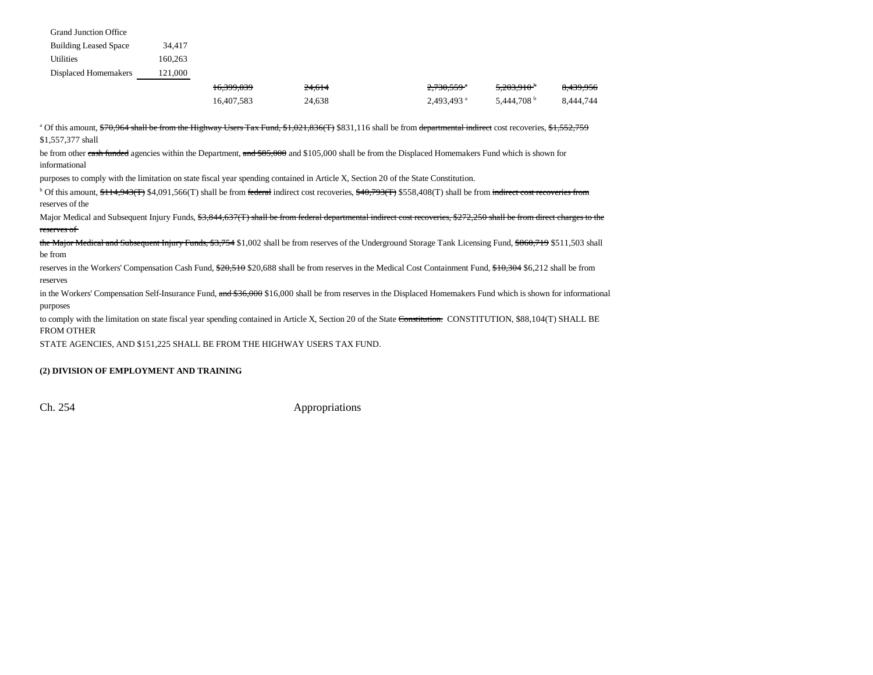| <b>Grand Junction Office</b> |         |
|------------------------------|---------|
| <b>Building Leased Space</b> | 34,417  |
| <b>Utilities</b>             | 160,263 |
| <b>Displaced Homemakers</b>  | 121,000 |

| 16,399,039 | 24,614 | 2,730,559 °              | 5,203,910 <sup>b</sup> | <del>8,439,956</del> |
|------------|--------|--------------------------|------------------------|----------------------|
| 16.407.583 | 24,638 | $2.493.493$ <sup>a</sup> | 5.444.708 <sup>b</sup> | 8,444,744            |

<sup>a</sup> Of this amount, \$70,964 shall be from the Highway Users Tax Fund, \$1,021,836(T) \$831,116 shall be from departmental indirect cost recoveries, \$1,552,759 \$1,557,377 shall

be from other cash funded agencies within the Department, and \$85,000 and \$105,000 shall be from the Displaced Homemakers Fund which is shown for informational

purposes to comply with the limitation on state fiscal year spending contained in Article X, Section 20 of the State Constitution.

 $b$  Of this amount,  $f_1 + f_2 + f_3 + f_4$ ,  $g_2 + g_3 + g_4$ ,  $h_3$  and be from federal indirect cost recoveries,  $f_3 + 40,793(f)$  \$558,408(T) shall be from indirect cost recoveries from reserves of the

Major Medical and Subsequent Injury Funds, \$3,844,637(T) shall be from federal departmental indirect cost recoveries, \$272,250 shall be from direct charges to the reserves of

the Major Medical and Subsequent Injury Funds, \$3,754 \$1,002 shall be from reserves of the Underground Storage Tank Licensing Fund, \$860,719 \$511,503 shall be from

reserves in the Workers' Compensation Cash Fund, \$20,510 \$20,688 shall be from reserves in the Medical Cost Containment Fund, \$10,304 \$6,212 shall be from reserves

in the Workers' Compensation Self-Insurance Fund, and \$36,000 \$16,000 shall be from reserves in the Displaced Homemakers Fund which is shown for informational purposes

to comply with the limitation on state fiscal year spending contained in Article X, Section 20 of the State Constitution. CONSTITUTION, \$88,104(T) SHALL BE FROM OTHER

STATE AGENCIES, AND \$151,225 SHALL BE FROM THE HIGHWAY USERS TAX FUND.

#### **(2) DIVISION OF EMPLOYMENT AND TRAINING**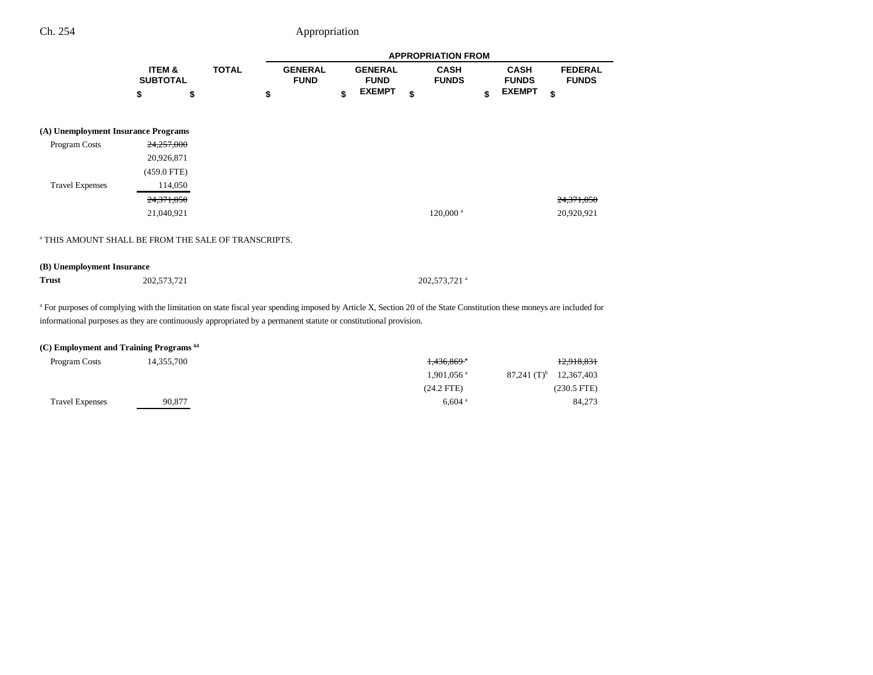|                                                                 |                                      |              |                               |                               | <b>APPROPRIATION FROM</b>   |                             |                                |  |
|-----------------------------------------------------------------|--------------------------------------|--------------|-------------------------------|-------------------------------|-----------------------------|-----------------------------|--------------------------------|--|
|                                                                 | <b>ITEM &amp;</b><br><b>SUBTOTAL</b> | <b>TOTAL</b> | <b>GENERAL</b><br><b>FUND</b> | <b>GENERAL</b><br><b>FUND</b> | <b>CASH</b><br><b>FUNDS</b> | <b>CASH</b><br><b>FUNDS</b> | <b>FEDERAL</b><br><b>FUNDS</b> |  |
|                                                                 | \$                                   | \$           | \$                            | \$<br><b>EXEMPT</b>           | \$                          | \$<br><b>EXEMPT</b>         | \$                             |  |
| (A) Unemployment Insurance Programs                             |                                      |              |                               |                               |                             |                             |                                |  |
| Program Costs                                                   | 24,257,000                           |              |                               |                               |                             |                             |                                |  |
|                                                                 | 20,926,871                           |              |                               |                               |                             |                             |                                |  |
|                                                                 | $(459.0$ FTE)                        |              |                               |                               |                             |                             |                                |  |
| <b>Travel Expenses</b>                                          | 114,050                              |              |                               |                               |                             |                             |                                |  |
|                                                                 | 24,371,050                           |              |                               |                               |                             |                             | 24,371,050                     |  |
|                                                                 | 21,040,921                           |              |                               |                               | $120,000$ <sup>a</sup>      |                             | 20,920,921                     |  |
| <sup>a</sup> THIS AMOUNT SHALL BE FROM THE SALE OF TRANSCRIPTS. |                                      |              |                               |                               |                             |                             |                                |  |

**Trust**

202,573,721 a 202,573,721 a 202,573,721 a 202,573,721 a 202,573,721 a 202,573,721 a 202,573,721 a 202,573,721 a 202,573,721 a 202,573,721 a 202,573,721 a 202,573,721 a 202,573,721 a 202,573,721 a 202,573,721 a 202,573,721

<sup>a</sup> For purposes of complying with the limitation on state fiscal year spending imposed by Article X, Section 20 of the State Constitution these moneys are included for informational purposes as they are continuously appropriated by a permanent statute or constitutional provision.

### **(C) Employment and Training Programs 64**

| Program Costs          | 14,355,700 | 1,436,869 <sup>a</sup>                       | 12,918,831    |
|------------------------|------------|----------------------------------------------|---------------|
|                        |            | 87,241 $(T)^{b}$<br>$1,901,056$ <sup>a</sup> | 12,367,403    |
|                        |            | $(24.2$ FTE $)$                              | $(230.5$ FTE) |
| <b>Travel Expenses</b> | 90.877     | $6.604$ <sup>a</sup>                         | 84,273        |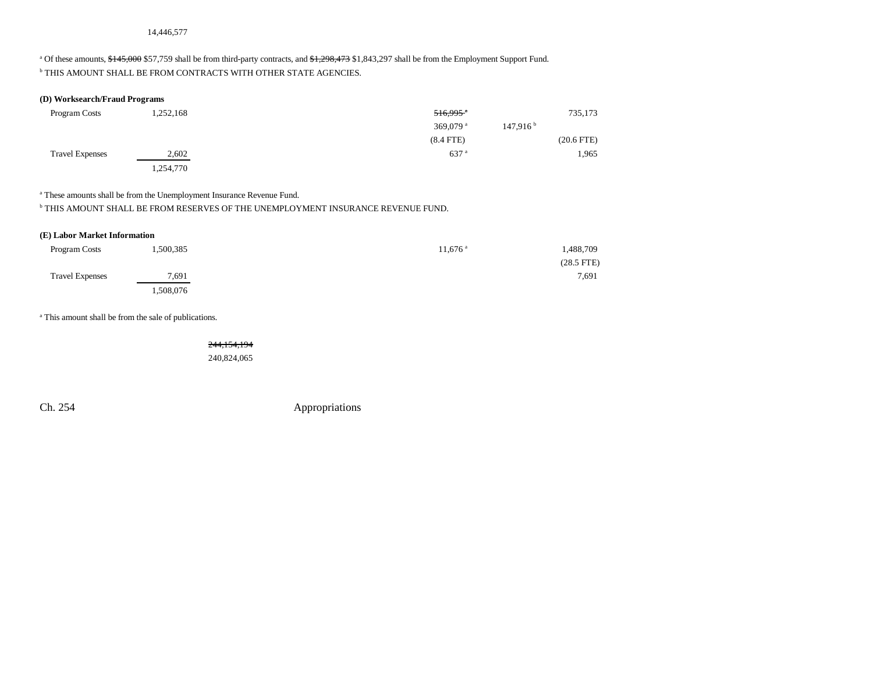<sup>a</sup> Of these amounts, \$145,000 \$57,759 shall be from third-party contracts, and \$1,298,473 \$1,843,297 shall be from the Employment Support Fund.  $^{\rm b}$  THIS AMOUNT SHALL BE FROM CONTRACTS WITH OTHER STATE AGENCIES.

### **(D) Worksearch/Fraud Programs**

| Program Costs          | 1,252,168 | $516,995$ <sup>a</sup>                     | 735,173         |
|------------------------|-----------|--------------------------------------------|-----------------|
|                        |           | 147,916 <sup>b</sup><br>369,079 $^{\circ}$ |                 |
|                        |           | $(8.4$ FTE)                                | $(20.6$ FTE $)$ |
| <b>Travel Expenses</b> | 2,602     | $637$ <sup>a</sup>                         | 1,965           |
|                        | 1,254,770 |                                            |                 |

<sup>a</sup> These amounts shall be from the Unemployment Insurance Revenue Fund.

 $^{\rm b}$  THIS AMOUNT SHALL BE FROM RESERVES OF THE UNEMPLOYMENT INSURANCE REVENUE FUND.

### **(E) Labor Market Information**

| Program Costs          | 1,500,385 | $11,676$ <sup>a</sup> | 1,488,709    |
|------------------------|-----------|-----------------------|--------------|
|                        |           |                       | $(28.5$ FTE) |
| <b>Travel Expenses</b> | 7,691     |                       | 7,691        |
|                        | .508,076  |                       |              |

<sup>a</sup> This amount shall be from the sale of publications.

244,154,194

240,824,065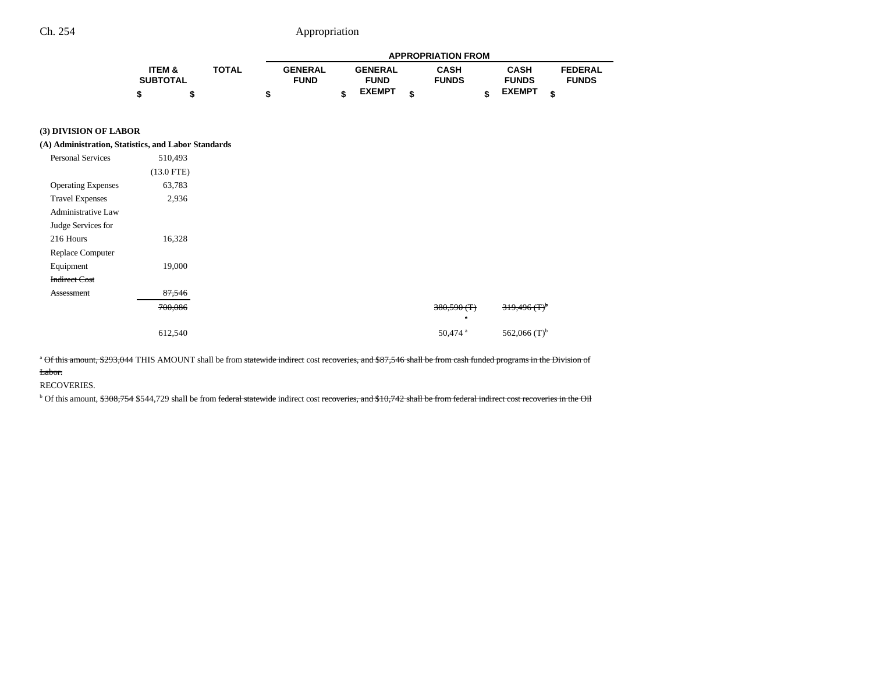|                 |              |                |                |   | <b>APPROPRIATION FROM</b> |               |                |
|-----------------|--------------|----------------|----------------|---|---------------------------|---------------|----------------|
| ITEM &          | <b>TOTAL</b> | <b>GENERAL</b> | <b>GENERAL</b> |   | <b>CASH</b>               | <b>CASH</b>   | <b>FEDERAL</b> |
| <b>SUBTOTAL</b> |              | <b>FUND</b>    | <b>FUND</b>    |   | <b>FUNDS</b>              | <b>FUNDS</b>  | <b>FUNDS</b>   |
|                 |              |                | <b>EXEMPT</b>  | ¢ |                           | <b>EXEMPT</b> |                |

# **(3) DIVISION OF LABOR**

#### **(A) Administration, Statistics, and Labor Standards**

| <b>Personal Services</b>  | 510,493      |
|---------------------------|--------------|
|                           | $(13.0$ FTE) |
| <b>Operating Expenses</b> | 63,783       |
| <b>Travel Expenses</b>    | 2,936        |
| <b>Administrative Law</b> |              |
| Judge Services for        |              |
| 216 Hours                 | 16,328       |
| Replace Computer          |              |
| Equipment                 | 19,000       |
| <b>Indirect Cost</b>      |              |
| Assessment                | 87,546       |
|                           | 700,086      |
|                           |              |
|                           | 612,540      |

<sup>a</sup> Of this amount, \$293,044 THIS AMOUNT shall be from statewide indirect cost recoveries, and \$87,546 shall be from cash funded programs in the Division of Labor.

#### RECOVERIES.

<sup>b</sup> Of this amount, \$308,754 \$544,729 shall be from federal statewide indirect cost recoveries, and \$10,742 shall be from federal indirect cost recoveries in the Oil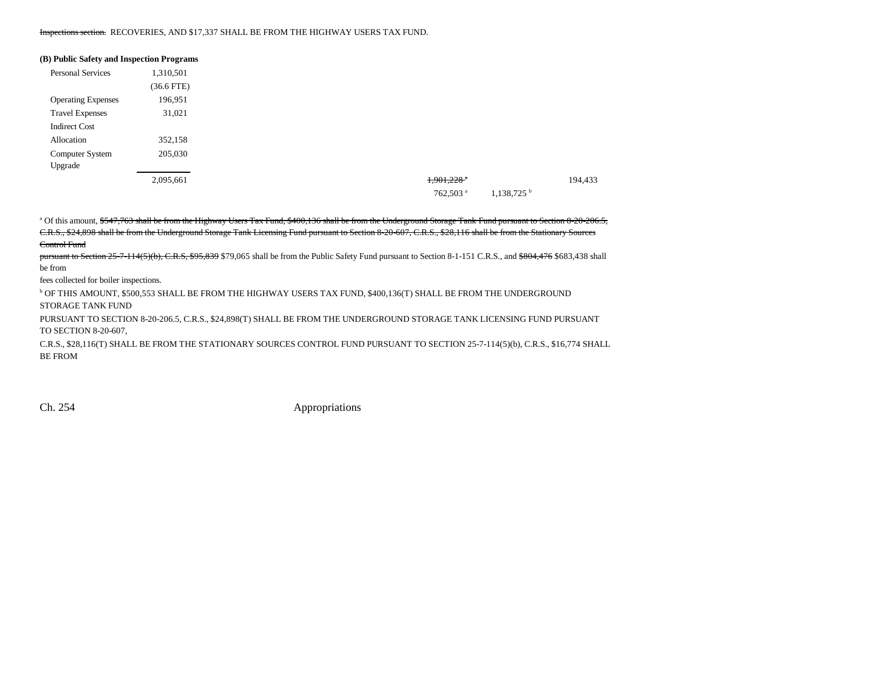#### Inspections section. RECOVERIES, AND \$17,337 SHALL BE FROM THE HIGHWAY USERS TAX FUND.

| (B) Public Safety and Inspection Programs        |
|--------------------------------------------------|
| Personal Services<br>1,310,501                   |
| $(36.6$ FTE $)$                                  |
| 196,951<br><b>Operating Expenses</b>             |
| <b>Travel Expenses</b><br>31,021                 |
| <b>Indirect Cost</b>                             |
| 352,158<br>Allocation                            |
| 205,030<br>Computer System                       |
| Upgrade                                          |
| $1,901,228$ <sup>a</sup><br>2,095,661            |
| $1,138,725$ <sup>b</sup><br>762,503 <sup>a</sup> |

<sup>a</sup> Of this amount, \$547,763 shall be from the Highway Users Tax Fund, \$400,136 shall be from the Underground Storage Tank Fund pursuant to Section 8-20-206.5, C.R.S., \$24,898 shall be from the Underground Storage Tank Licensing Fund pursuant to Section 8-20-607, C.R.S., \$28,116 shall be from the Stationary Sources Control Fund

pursuant to Section 25-7-114(5)(b), C.R.S, \$95,839 \$79,065 shall be from the Public Safety Fund pursuant to Section 8-1-151 C.R.S., and \$804,476 \$683,438 shall be from

fees collected for boiler inspections.

b OF THIS AMOUNT, \$500,553 SHALL BE FROM THE HIGHWAY USERS TAX FUND, \$400,136(T) SHALL BE FROM THE UNDERGROUND STORAGE TANK FUND

PURSUANT TO SECTION 8-20-206.5, C.R.S., \$24,898(T) SHALL BE FROM THE UNDERGROUND STORAGE TANK LICENSING FUND PURSUANT TO SECTION 8-20-607,

C.R.S., \$28,116(T) SHALL BE FROM THE STATIONARY SOURCES CONTROL FUND PURSUANT TO SECTION 25-7-114(5)(b), C.R.S., \$16,774 SHALL BE FROM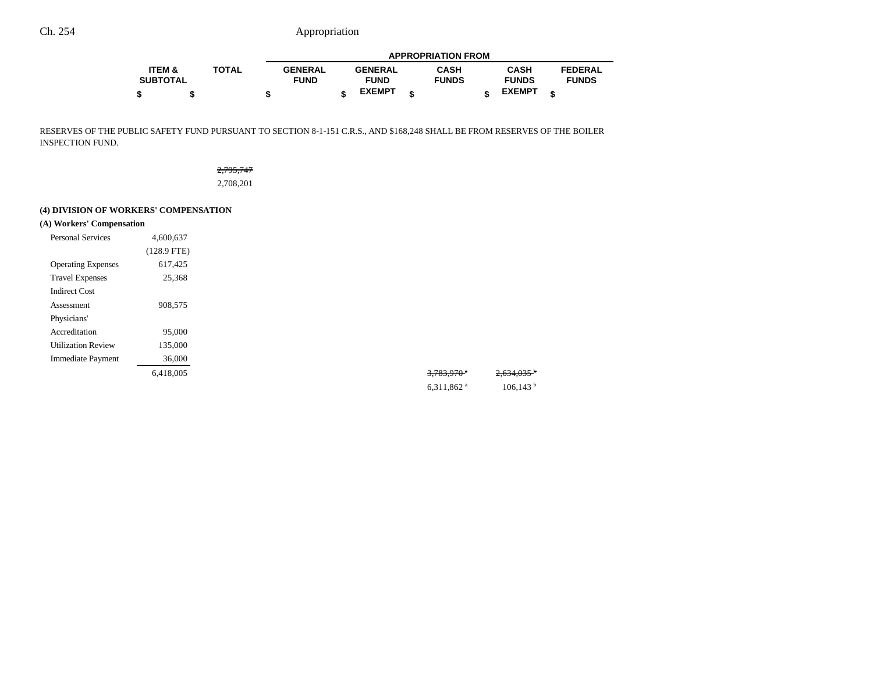|                   |              | <b>APPROPRIATION FROM</b> |  |                |  |              |  |               |  |                |
|-------------------|--------------|---------------------------|--|----------------|--|--------------|--|---------------|--|----------------|
| <b>ITEM &amp;</b> | <b>TOTAL</b> | <b>GENERAL</b>            |  | <b>GENERAL</b> |  | CASH         |  | <b>CASH</b>   |  | <b>FEDERAL</b> |
| <b>SUBTOTAL</b>   |              | <b>FUND</b>               |  | <b>FUND</b>    |  | <b>FUNDS</b> |  | <b>FUNDS</b>  |  | <b>FUNDS</b>   |
|                   |              |                           |  | <b>EXEMPT</b>  |  |              |  | <b>EXEMPT</b> |  |                |

RESERVES OF THE PUBLIC SAFETY FUND PURSUANT TO SECTION 8-1-151 C.R.S., AND \$168,248 SHALL BE FROM RESERVES OF THE BOILER INSPECTION FUND.

# 2,795,747 2,708,201

### **(4) DIVISION OF WORKERS' COMPENSATION**

**(A) Workers' Compensation**

| <b>Personal Services</b>  | 4.600.637     |  |  |  |
|---------------------------|---------------|--|--|--|
|                           | $(128.9$ FTE) |  |  |  |
| <b>Operating Expenses</b> | 617.425       |  |  |  |
| <b>Travel Expenses</b>    | 25,368        |  |  |  |
| Indirect Cost             |               |  |  |  |
| Assessment                | 908,575       |  |  |  |
| Physicians'               |               |  |  |  |
| Accreditation             | 95,000        |  |  |  |
| <b>Utilization Review</b> | 135,000       |  |  |  |
| <b>Immediate Payment</b>  | 36,000        |  |  |  |
|                           | 6.418.005     |  |  |  |

| 6,418,005 | 3,783,970 <sup>-1</sup> | $2,634,035$ <sup>b</sup> |
|-----------|-------------------------|--------------------------|
|           | 6,311,862 $a$           | 106, 143 <sup>b</sup>    |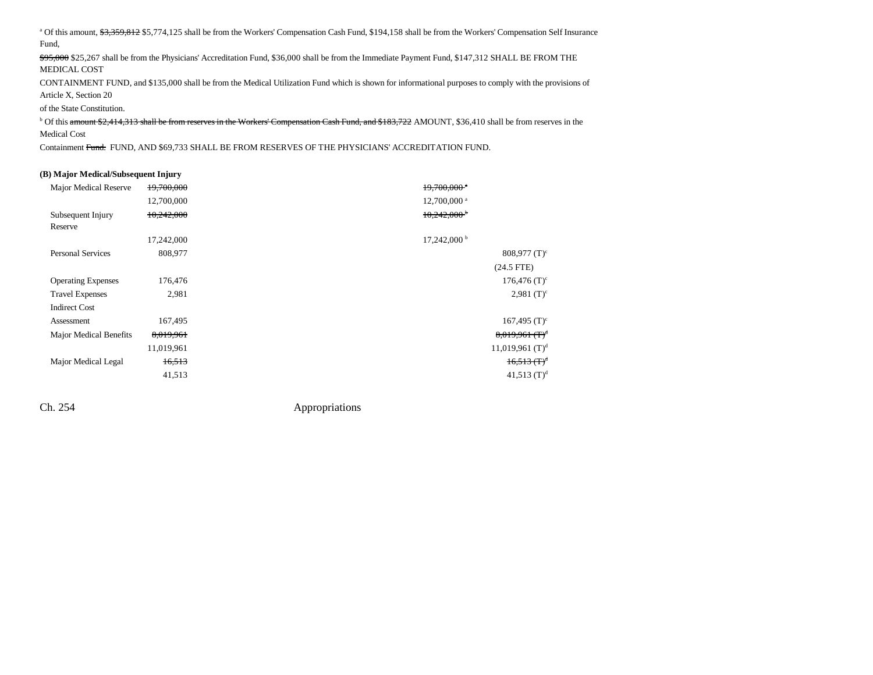<sup>a</sup> Of this amount, \$3,359,812 \$5,774,125 shall be from the Workers' Compensation Cash Fund, \$194,158 shall be from the Workers' Compensation Self Insurance Fund,

\$95,000 \$25,267 shall be from the Physicians' Accreditation Fund, \$36,000 shall be from the Immediate Payment Fund, \$147,312 SHALL BE FROM THE MEDICAL COST

CONTAINMENT FUND, and \$135,000 shall be from the Medical Utilization Fund which is shown for informational purposes to comply with the provisions of Article X, Section 20

of the State Constitution.

<sup>b</sup> Of this amount \$2,414,313 shall be from reserves in the Workers' Compensation Cash Fund, and \$183,722 AMOUNT, \$36,410 shall be from reserves in the Medical Cost

Containment Fund. FUND, AND \$69,733 SHALL BE FROM RESERVES OF THE PHYSICIANS' ACCREDITATION FUND.

#### **(B) Major Medical/Subsequent Injury**

| Major Medical Reserve     | 19,700,000 | $19.700.000$ <sup>*</sup>     |
|---------------------------|------------|-------------------------------|
|                           | 12,700,000 | 12,700,000 <sup>a</sup>       |
| Subsequent Injury         | 10,242,000 | $10,242,000$ <sup>b</sup>     |
| Reserve                   |            |                               |
|                           | 17,242,000 | $17,242,000^{\mathrm{b}}$     |
| <b>Personal Services</b>  | 808,977    | $808,977$ (T) <sup>c</sup>    |
|                           |            | $(24.5$ FTE)                  |
| <b>Operating Expenses</b> | 176,476    | $176,476$ (T) <sup>c</sup>    |
| <b>Travel Expenses</b>    | 2,981      | $2,981$ (T) <sup>c</sup>      |
| <b>Indirect Cost</b>      |            |                               |
| Assessment                | 167,495    | $167,495$ (T) <sup>c</sup>    |
| Major Medical Benefits    | 8,019,961  | $8,019,961$ (T) <sup>d</sup>  |
|                           | 11,019,961 | $11,019,961$ (T) <sup>d</sup> |
| Major Medical Legal       | 16,513     | $16,513 \text{ (T)}^d$        |
|                           | 41,513     | 41,513 $(T)^d$                |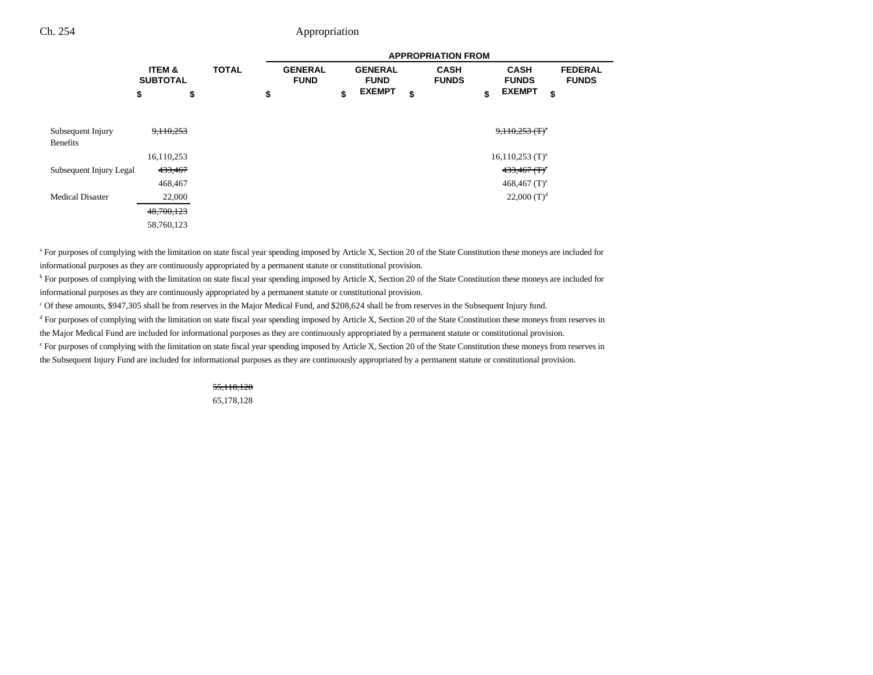|                                      |                                      |              | <b>APPROPRIATION FROM</b> |                               |    |                               |    |                             |    |                                             |                                |
|--------------------------------------|--------------------------------------|--------------|---------------------------|-------------------------------|----|-------------------------------|----|-----------------------------|----|---------------------------------------------|--------------------------------|
|                                      | <b>ITEM &amp;</b><br><b>SUBTOTAL</b> | <b>TOTAL</b> |                           | <b>GENERAL</b><br><b>FUND</b> |    | <b>GENERAL</b><br><b>FUND</b> |    | <b>CASH</b><br><b>FUNDS</b> |    | <b>CASH</b><br><b>FUNDS</b>                 | <b>FEDERAL</b><br><b>FUNDS</b> |
|                                      | \$<br>\$                             |              | \$                        |                               | \$ | <b>EXEMPT</b>                 | \$ |                             | \$ | <b>EXEMPT</b>                               | \$                             |
|                                      |                                      |              |                           |                               |    |                               |    |                             |    |                                             |                                |
| Subsequent Injury<br><b>Benefits</b> | 9,110,253                            |              |                           |                               |    |                               |    |                             |    | $9,110,253$ (T) <sup>e</sup>                |                                |
|                                      | 16,110,253                           |              |                           |                               |    |                               |    |                             |    | $16,110,253$ (T) <sup>e</sup>               |                                |
| Subsequent Injury Legal              | 433,467                              |              |                           |                               |    |                               |    |                             |    | $433,467$ (T) <sup><math>\circ</math></sup> |                                |
|                                      | 468,467                              |              |                           |                               |    |                               |    |                             |    | $468,467$ (T) <sup>e</sup>                  |                                |
| <b>Medical Disaster</b>              | 22,000                               |              |                           |                               |    |                               |    |                             |    | 22,000 $(T)^d$                              |                                |
|                                      | 48,700,123                           |              |                           |                               |    |                               |    |                             |    |                                             |                                |
|                                      | 58,760,123                           |              |                           |                               |    |                               |    |                             |    |                                             |                                |

<sup>a</sup> For purposes of complying with the limitation on state fiscal year spending imposed by Article X, Section 20 of the State Constitution these moneys are included for informational purposes as they are continuously appropriated by a permanent statute or constitutional provision.

<sup>b</sup> For purposes of complying with the limitation on state fiscal year spending imposed by Article X, Section 20 of the State Constitution these moneys are included for informational purposes as they are continuously appropriated by a permanent statute or constitutional provision.

c Of these amounts, \$947,305 shall be from reserves in the Major Medical Fund, and \$208,624 shall be from reserves in the Subsequent Injury fund.

<sup>d</sup> For purposes of complying with the limitation on state fiscal year spending imposed by Article X, Section 20 of the State Constitution these moneys from reserves in the Major Medical Fund are included for informational purposes as they are continuously appropriated by a permanent statute or constitutional provision.

e For purposes of complying with the limitation on state fiscal year spending imposed by Article X, Section 20 of the State Constitution these moneys from reserves in the Subsequent Injury Fund are included for informational purposes as they are continuously appropriated by a permanent statute or constitutional provision.

> 55,118,128 65,178,128